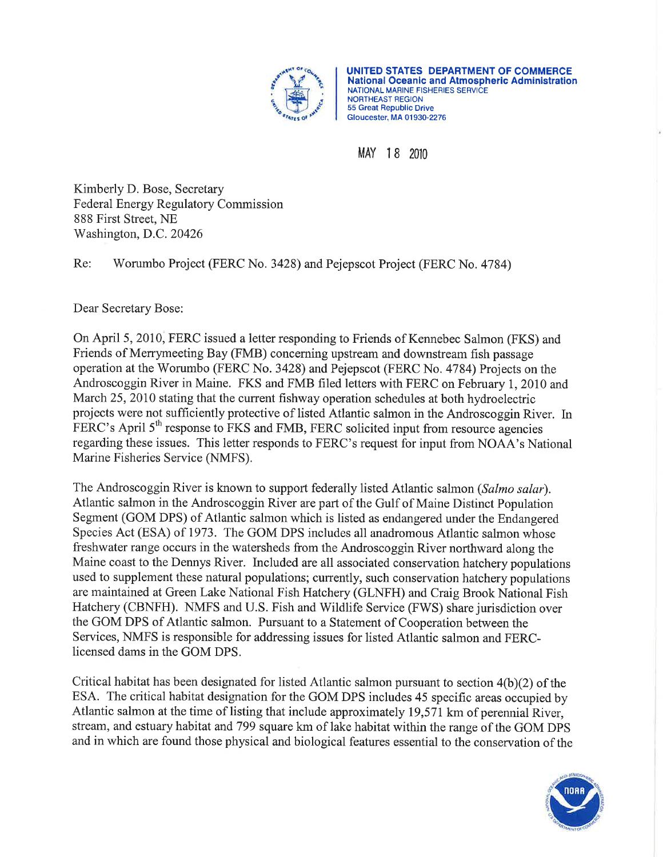

UNITED STATES DEPARTMENT OF COMMERCE National Oceanic and Almospheric Administration NATIONAL MARINE FISHERIES SERVICE NORTHEASI REGION 55 Great Republic Drive Gloucester, MA 01 930-2276

MAY 18 2010

Kimberly D. Bose, Secretary Federal Energy Regulatory Commission 888 First Street, NE 'Washington, D.C. <sup>20426</sup>

Re: Worumbo Project (FERC No. 3428) and Pejepscot Project (FERC No. 4784)

Dear Secretary Bose:

On April 5,2010, FERC issued a letter responding to Friends of Kennebec Salmon (FKS) and Friends of Merrymeeting Bay (FMB) concerning upstream and downstream fish passage operation at the'Worumbo (FERC No. 3428) and Pejepscot (FERC No. 4784) Projects on the Androscoggin River in Maine. FKS and FMB filed letters with FERC on February 1, 2010 and March 25,2010 stating that the current fishway operation schedules at both hydroelectric projects were not sufficiently protective of listed Atlantic salmon in the Androscoggin River. In FERC's April 5<sup>th</sup> response to FKS and FMB, FERC solicited input from resource agencies regarding these issues. This letter responds to FERC's request for input from NOAA's National Marine Fisheries Service (NMFS).

The Androscoggin River is known to support federally listed Atlantic salmon (Salmo salar). Atlantic salmon in the Androscoggin River are part of the Gulf of Maine Distinct Population Segment (GOM DPS) of Atlantic salmon which is listed as endangered under the Endangered Species Act (ESA) of 1973. The GOM DPS includes all anadromous Atlantic salmon whose freshwater range occurs in the watersheds from the Androscoggin River northward along the Maine coast to the Dennys River. Included are all associated conservation hatchery populations used to supplement these natural populations; currently, such conservation hatchery populations are maintained at Green Lake National Fish Hatchery (GLNFH) and Craig Brook National Fish Hatchery (CBNFH). NMFS and U.S. Fish and Wildlife Service (FWS) share jurisdiction over the GOM DPS of Atlantic salmon. Pursuant to a Statement of Cooperation between the Services, NMFS is responsible for addressing issues for listed Atlantic salmon and FERClicensed dams in the GOM DPS.

Critical habitat has been designated for listed Atlantic salmon pursuant to section 4(b)(2) of the ESA. The critical habitat designation for the GOM DPS includes 45 specific areas occupied by Atlantic salmon at the time of listing that include approximately 19,571km of perennial River, stream, and estuary habitat and 799 square km of lake habitat within the range of the GOM DPS and in which are found those physical and biological features essential to the conservation of the

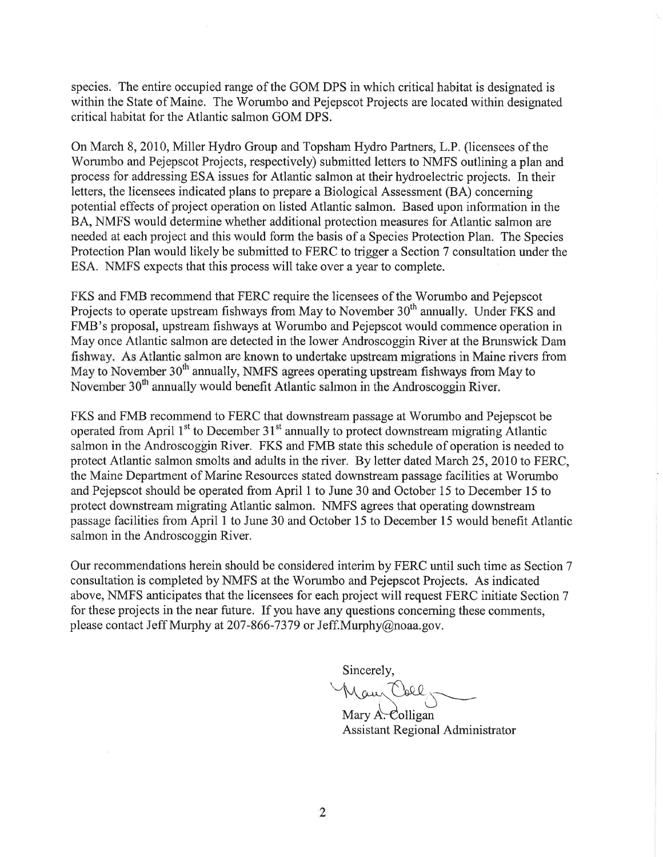species. The entire occupied range of the GOM DPS in which critical habitat is designated is within the State of Maine. The Worumbo and Pejepscot Projects are located within designated critical habitat for the Atlantic salmon GOM DPS.

On March 8, 2010, Miller Hydro Group and Topsham Hydro Partners, L.P. (licensees of the Worumbo and Pejepscot Projects, respectively) submitted letters to NMFS outlining a plan and process for addressing ESA issues for Atlantic salmon at their hydroelectric projects. In their letters, the licensees indicated plans to prepare a Biological Assessment (BA) concerning potential effects of project operation on listed Atlantic salmon. Based upon information in the BA, NMFS would determine whether additional protection measures for Atlantic salmon are needed at each project and this would form the basis of a Species Protection Plan. The Species Protection Plan would likely be submitted to FERC to trigger a Section 7 consultation under the ESA. NMFS expects that this process will take over a year to complete.

FKS and FMB recommend that FERC require the licensees of the'Worumbo and Pejepscot Projects to operate upstream fishways from May to November 30<sup>th</sup> annually. Under FKS and FMB's proposal, upstream fishways at Worumbo and Pejepscot would commence operation in May once Atlantic salmon are detected in the lower Androscoggin River at the Brunswick Dam fishway. As Atlantic salmon are known to undertake upstream migrations in Maine rivers from May to November 30<sup>th</sup> annually, NMFS agrees operating upstream fishways from May to November 30<sup>th</sup> annually would benefit Atlantic salmon in the Androscoggin River.

FKS and FMB recommend to FERC that downstream passage at Worumbo and Pejepscot be operated from April  $1<sup>st</sup>$  to December  $31<sup>st</sup>$  annually to protect downstream migrating Atlantic salmon in the Androscoggin River. FKS and FMB state this schedule of operation is needed to protect Atlantic salmon smolts and adults in the river. By letter dated March 25,2010 to FERC, the Maine Department of Marine Resources stated downstream passage facilities at Worumbo and Pejepscot should be operated from April I to June 30 and October 15 to December 15 to protect downstream migrating Atlantic salmon. NMFS agrees that operating downstream passage facilities from April I to June 30 and October 15 to December 15 would benefit Atlantic salmon in the Androscoggin River.

Our recommendations herein should be considered interim by FERC until such time as Section 7 consultation is completed byNMFS at the Worumbo and Pejepscot Projects. As indicated above, NMFS anticipates that the licensees for each project will request FERC initiate Section 7 for these projects in the near future. If you have any questions concerning these comments, please contact Jeff Murphy at 207-866-7379 or Jeff.Murphy@noaa.gov.

Sincerely,

Maur Coll,

Mary  $A$ . Colligan Assistant Regional Administrator